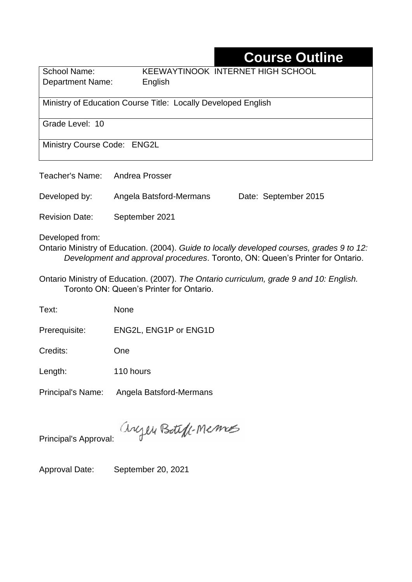## **Course Outline**

Department Name:English

School Name: KEEWAYTINOOK INTERNET HIGH SCHOOL

Ministry of Education Course Title: Locally Developed English

Grade Level: 10

Ministry Course Code: ENG2L

Teacher's Name: Andrea Prosser

Developed by: Angela Batsford-Mermans Date: September 2015

Revision Date: September 2021

Developed from:

Ontario Ministry of Education. (2004). *Guide to locally developed courses, grades 9 to 12: Development and approval procedures*. Toronto, ON: Queen's Printer for Ontario.

Ontario Ministry of Education. (2007). *The Ontario curriculum, grade 9 and 10: English.*  Toronto ON: Queen's Printer for Ontario.

Text: None

Prerequisite: ENG2L, ENG1P or ENG1D

Credits: One

Length: 110 hours

Principal's Name: Angela Batsford-Mermans

anyen Boteft-Memos

Principal's Approval:

Approval Date: September 20, 2021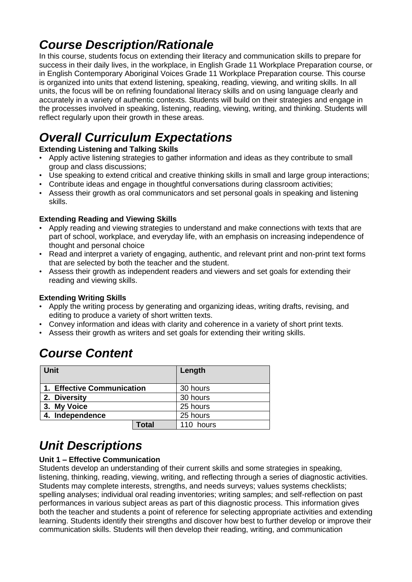## *Course Description/Rationale*

In this course, students focus on extending their literacy and communication skills to prepare for success in their daily lives, in the workplace, in English Grade 11 Workplace Preparation course, or in English Contemporary Aboriginal Voices Grade 11 Workplace Preparation course. This course is organized into units that extend listening, speaking, reading, viewing, and writing skills. In all units, the focus will be on refining foundational literacy skills and on using language clearly and accurately in a variety of authentic contexts. Students will build on their strategies and engage in the processes involved in speaking, listening, reading, viewing, writing, and thinking. Students will reflect regularly upon their growth in these areas.

# *Overall Curriculum Expectations*

### **Extending Listening and Talking Skills**

- Apply active listening strategies to gather information and ideas as they contribute to small group and class discussions;
- Use speaking to extend critical and creative thinking skills in small and large group interactions;
- Contribute ideas and engage in thoughtful conversations during classroom activities;
- Assess their growth as oral communicators and set personal goals in speaking and listening skills.

### **Extending Reading and Viewing Skills**

- Apply reading and viewing strategies to understand and make connections with texts that are part of school, workplace, and everyday life, with an emphasis on increasing independence of thought and personal choice
- Read and interpret a variety of engaging, authentic, and relevant print and non-print text forms that are selected by both the teacher and the student.
- Assess their growth as independent readers and viewers and set goals for extending their reading and viewing skills.

### **Extending Writing Skills**

- Apply the writing process by generating and organizing ideas, writing drafts, revising, and editing to produce a variety of short written texts.
- Convey information and ideas with clarity and coherence in a variety of short print texts.
- Assess their growth as writers and set goals for extending their writing skills.

## *Course Content*

| <b>Unit</b>                |              | Length    |
|----------------------------|--------------|-----------|
| 1. Effective Communication |              | 30 hours  |
| 2. Diversity               |              | 30 hours  |
| 3. My Voice                |              | 25 hours  |
| 4. Independence            |              | 25 hours  |
|                            | <b>Total</b> | 110 hours |

## *Unit Descriptions*

#### **Unit 1 – Effective Communication**

Students develop an understanding of their current skills and some strategies in speaking, listening, thinking, reading, viewing, writing, and reflecting through a series of diagnostic activities. Students may complete interests, strengths, and needs surveys; values systems checklists; spelling analyses; individual oral reading inventories; writing samples; and self-reflection on past performances in various subject areas as part of this diagnostic process. This information gives both the teacher and students a point of reference for selecting appropriate activities and extending learning. Students identify their strengths and discover how best to further develop or improve their communication skills. Students will then develop their reading, writing, and communication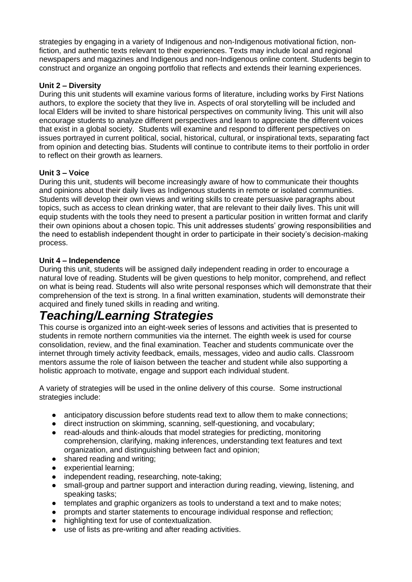strategies by engaging in a variety of Indigenous and non-Indigenous motivational fiction, nonfiction, and authentic texts relevant to their experiences. Texts may include local and regional newspapers and magazines and Indigenous and non-Indigenous online content. Students begin to construct and organize an ongoing portfolio that reflects and extends their learning experiences.

#### **Unit 2 – Diversity**

During this unit students will examine various forms of literature, including works by First Nations authors, to explore the society that they live in. Aspects of oral storytelling will be included and local Elders will be invited to share historical perspectives on community living. This unit will also encourage students to analyze different perspectives and learn to appreciate the different voices that exist in a global society. Students will examine and respond to different perspectives on issues portrayed in current political, social, historical, cultural, or inspirational texts, separating fact from opinion and detecting bias. Students will continue to contribute items to their portfolio in order to reflect on their growth as learners.

#### **Unit 3 – Voice**

During this unit, students will become increasingly aware of how to communicate their thoughts and opinions about their daily lives as Indigenous students in remote or isolated communities. Students will develop their own views and writing skills to create persuasive paragraphs about topics, such as access to clean drinking water, that are relevant to their daily lives. This unit will equip students with the tools they need to present a particular position in written format and clarify their own opinions about a chosen topic. This unit addresses students' growing responsibilities and the need to establish independent thought in order to participate in their society's decision-making process.

#### **Unit 4 – Independence**

During this unit, students will be assigned daily independent reading in order to encourage a natural love of reading. Students will be given questions to help monitor, comprehend, and reflect on what is being read. Students will also write personal responses which will demonstrate that their comprehension of the text is strong. In a final written examination, students will demonstrate their acquired and finely tuned skills in reading and writing.

### *Teaching/Learning Strategies*

This course is organized into an eight-week series of lessons and activities that is presented to students in remote northern communities via the internet. The eighth week is used for course consolidation, review, and the final examination. Teacher and students communicate over the internet through timely activity feedback, emails, messages, video and audio calls. Classroom mentors assume the role of liaison between the teacher and student while also supporting a holistic approach to motivate, engage and support each individual student.

A variety of strategies will be used in the online delivery of this course. Some instructional strategies include:

- anticipatory discussion before students read text to allow them to make connections:
- direct instruction on skimming, scanning, self-questioning, and vocabulary;
- read-alouds and think-alouds that model strategies for predicting, monitoring comprehension, clarifying, making inferences, understanding text features and text organization, and distinguishing between fact and opinion;
- shared reading and writing;
- experiential learning;
- independent reading, researching, note-taking;
- small-group and partner support and interaction during reading, viewing, listening, and speaking tasks;
- templates and graphic organizers as tools to understand a text and to make notes;
- prompts and starter statements to encourage individual response and reflection;
- highlighting text for use of contextualization.
- use of lists as pre-writing and after reading activities.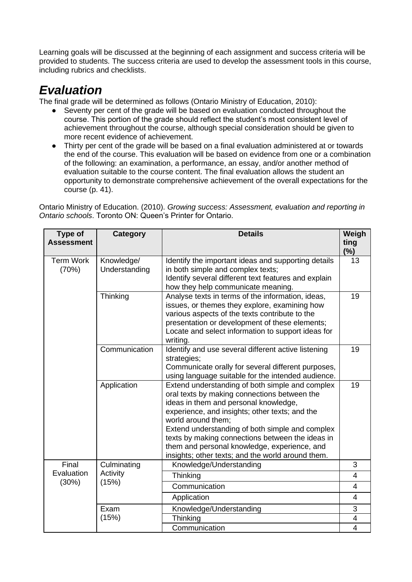Learning goals will be discussed at the beginning of each assignment and success criteria will be provided to students. The success criteria are used to develop the assessment tools in this course, including rubrics and checklists.

### *Evaluation*

The final grade will be determined as follows (Ontario Ministry of Education, 2010):

- Seventy per cent of the grade will be based on evaluation conducted throughout the course. This portion of the grade should reflect the student's most consistent level of achievement throughout the course, although special consideration should be given to more recent evidence of achievement.
- Thirty per cent of the grade will be based on a final evaluation administered at or towards the end of the course. This evaluation will be based on evidence from one or a combination of the following: an examination, a performance, an essay, and/or another method of evaluation suitable to the course content. The final evaluation allows the student an opportunity to demonstrate comprehensive achievement of the overall expectations for the course (p. 41).

Ontario Ministry of Education. (2010). *Growing success: Assessment, evaluation and reporting in Ontario schools*. Toronto ON: Queen's Printer for Ontario.

| <b>Type of</b><br><b>Assessment</b> | <b>Category</b>             | <b>Details</b>                                                                                                                                                                                                                                                                                                                                                                                                               | Weigh<br>ting<br>$(\%)$ |
|-------------------------------------|-----------------------------|------------------------------------------------------------------------------------------------------------------------------------------------------------------------------------------------------------------------------------------------------------------------------------------------------------------------------------------------------------------------------------------------------------------------------|-------------------------|
| <b>Term Work</b><br>(70%)           | Knowledge/<br>Understanding | Identify the important ideas and supporting details<br>in both simple and complex texts;<br>Identify several different text features and explain<br>how they help communicate meaning.                                                                                                                                                                                                                                       | 13                      |
|                                     | Thinking                    | Analyse texts in terms of the information, ideas,<br>issues, or themes they explore, examining how<br>various aspects of the texts contribute to the<br>presentation or development of these elements;<br>Locate and select information to support ideas for<br>writing.                                                                                                                                                     | 19                      |
|                                     | Communication               | Identify and use several different active listening<br>strategies;<br>Communicate orally for several different purposes,<br>using language suitable for the intended audience.                                                                                                                                                                                                                                               | 19                      |
|                                     | Application                 | Extend understanding of both simple and complex<br>oral texts by making connections between the<br>ideas in them and personal knowledge,<br>experience, and insights; other texts; and the<br>world around them;<br>Extend understanding of both simple and complex<br>texts by making connections between the ideas in<br>them and personal knowledge, experience, and<br>insights; other texts; and the world around them. | 19                      |
| Final                               | Culminating                 | Knowledge/Understanding                                                                                                                                                                                                                                                                                                                                                                                                      | 3                       |
| Evaluation                          | Activity<br>(15%)           | Thinking                                                                                                                                                                                                                                                                                                                                                                                                                     | $\overline{4}$          |
| (30%)                               |                             | Communication                                                                                                                                                                                                                                                                                                                                                                                                                | $\overline{4}$          |
|                                     |                             | Application                                                                                                                                                                                                                                                                                                                                                                                                                  | $\overline{4}$          |
|                                     | Exam                        | Knowledge/Understanding                                                                                                                                                                                                                                                                                                                                                                                                      | 3                       |
|                                     | (15%)                       | Thinking                                                                                                                                                                                                                                                                                                                                                                                                                     | 4                       |
|                                     |                             | Communication                                                                                                                                                                                                                                                                                                                                                                                                                | $\overline{4}$          |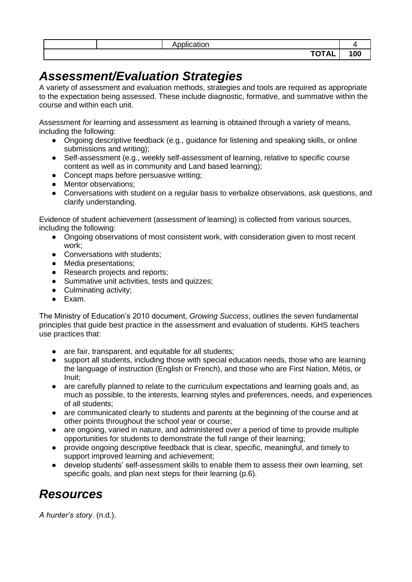| $\cdots$<br>مرتجر والمحتجر المرتجر<br>auon<br>. |    |
|-------------------------------------------------|----|
| $\frac{1}{2}$<br>. AL .<br>. .                  | wu |

### *Assessment/Evaluation Strategies*

A variety of assessment and evaluation methods, strategies and tools are required as appropriate to the expectation being assessed. These include diagnostic, formative, and summative within the course and within each unit.

Assessment *for* learning and assessment *as* learning is obtained through a variety of means, including the following:

- Ongoing descriptive feedback (e.g., guidance for listening and speaking skills, or online submissions and writing);
- Self-assessment (e.g., weekly self-assessment of learning, relative to specific course content as well as in community and Land based learning);
- Concept maps before persuasive writing;
- Mentor observations;
- Conversations with student on a regular basis to verbalize observations, ask questions, and clarify understanding.

Evidence of student achievement (assessment *of* learning) is collected from various sources, including the following:

- Ongoing observations of most consistent work, with consideration given to most recent work;
- Conversations with students:
- Media presentations;
- Research projects and reports;
- Summative unit activities, tests and quizzes:
- Culminating activity;
- Exam.

The Ministry of Education's 2010 document, *Growing Success*, outlines the seven fundamental principles that guide best practice in the assessment and evaluation of students. KiHS teachers use practices that:

- are fair, transparent, and equitable for all students;
- support all students, including those with special education needs, those who are learning the language of instruction (English or French), and those who are First Nation, Métis, or Inuit;
- are carefully planned to relate to the curriculum expectations and learning goals and, as much as possible, to the interests, learning styles and preferences, needs, and experiences of all students;
- are communicated clearly to students and parents at the beginning of the course and at other points throughout the school year or course;
- are ongoing, varied in nature, and administered over a period of time to provide multiple opportunities for students to demonstrate the full range of their learning;
- provide ongoing descriptive feedback that is clear, specific, meaningful, and timely to support improved learning and achievement;
- develop students' self-assessment skills to enable them to assess their own learning, set specific goals, and plan next steps for their learning (p.6).

## *Resources*

*A hunter's story*. (n.d.).